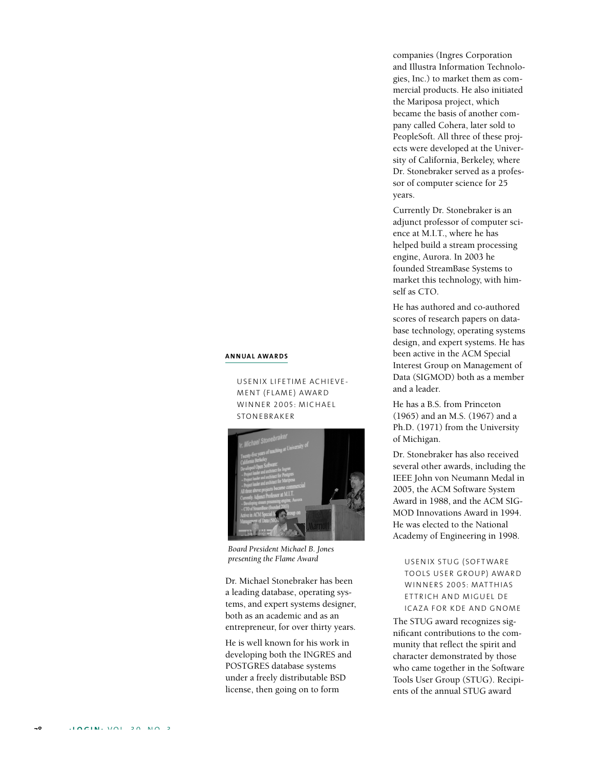## **A NNUAL AWA RD S**

USENIX LIFETIME ACHIEVE-MENT (FLAME) AWARD WINNER 2005: MICHAEL **STONEBRAKER** 



*Board President Michael B. Jones presenting the Flame Award*

Dr. Michael Stonebraker has been a leading database, operating systems, and expert systems designer, both as an academic and as an entrepreneur, for over thirty years.

He is well known for his work in developing both the INGRES and POSTGRES database systems under a freely distributable BSD license, then going on to form

companies (Ingres Corporation and Illustra Information Technologies, Inc.) to market them as commercial products. He also initiated the Mariposa project, which became the basis of another company called Cohera, later sold to PeopleSoft. All three of these projects were developed at the University of California, Berkeley, where Dr. Stonebraker served as a professor of computer science for 25 years.

Currently Dr. Stonebraker is an adjunct professor of computer science at M.I.T., where he has helped build a stream processing engine, Aurora. In 2003 he founded StreamBase Systems to market this technology, with himself as CTO.

He has authored and co-authored scores of research papers on database technology, operating systems design, and expert systems. He has been active in the ACM Special Interest Group on Management of Data (SIGMOD) both as a member and a leader.

He has a B.S. from Princeton (1965) and an M.S. (1967) and a Ph.D. (1971) from the University of Michigan.

Dr. Stonebraker has also received several other awards, including the IEEE John von Neumann Medal in 2005, the ACM Software System Award in 1988, and the ACM SIG-MOD Innovations Award in 1994. He was elected to the National Academy of Engineering in 1998.

USENIX STUG (SOFTWARE TOOLS USER GROUP) AWARD WINNERS 2005: MATTHIAS ETTRICH AND MIGUEL DE ICAZA FOR KDE AND GNOME

The STUG award recognizes significant contributions to the community that reflect the spirit and character demonstrated by those who came together in the Software Tools User Group (STUG). Recipients of the annual STUG award